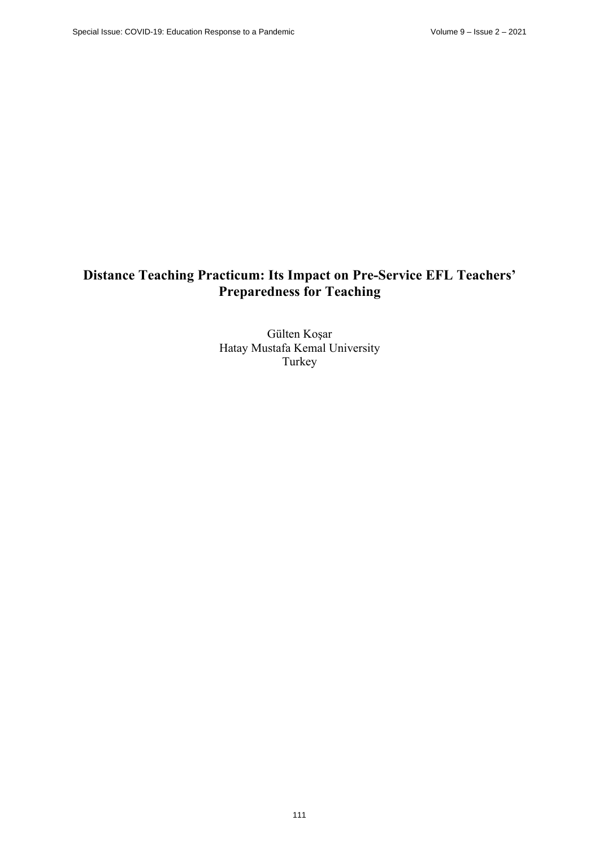# **Distance Teaching Practicum: Its Impact on Pre-Service EFL Teachers' Preparedness for Teaching**

Gülten Koşar Hatay Mustafa Kemal University Turkey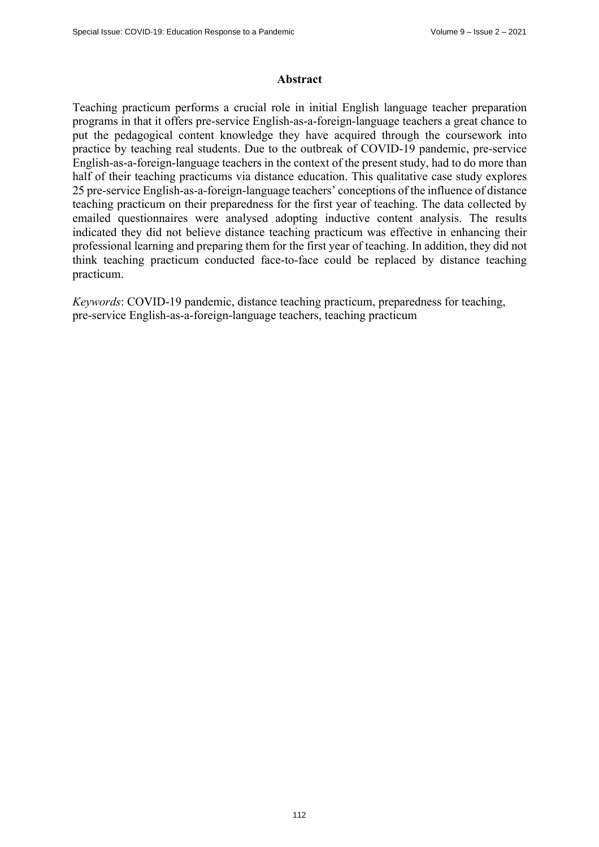### **Abstract**

Teaching practicum performs a crucial role in initial English language teacher preparation programs in that it offers pre-service English-as-a-foreign-language teachers a great chance to put the pedagogical content knowledge they have acquired through the coursework into practice by teaching real students. Due to the outbreak of COVID-19 pandemic, pre-service English-as-a-foreign-language teachers in the context of the present study, had to do more than half of their teaching practicums via distance education. This qualitative case study explores 25 pre-service English-as-a-foreign-language teachers' conceptions of the influence of distance teaching practicum on their preparedness for the first year of teaching. The data collected by emailed questionnaires were analysed adopting inductive content analysis. The results indicated they did not believe distance teaching practicum was effective in enhancing their professional learning and preparing them for the first year of teaching. In addition, they did not think teaching practicum conducted face-to-face could be replaced by distance teaching practicum.

*Keywords*: COVID-19 pandemic, distance teaching practicum, preparedness for teaching, pre-service English-as-a-foreign-language teachers, teaching practicum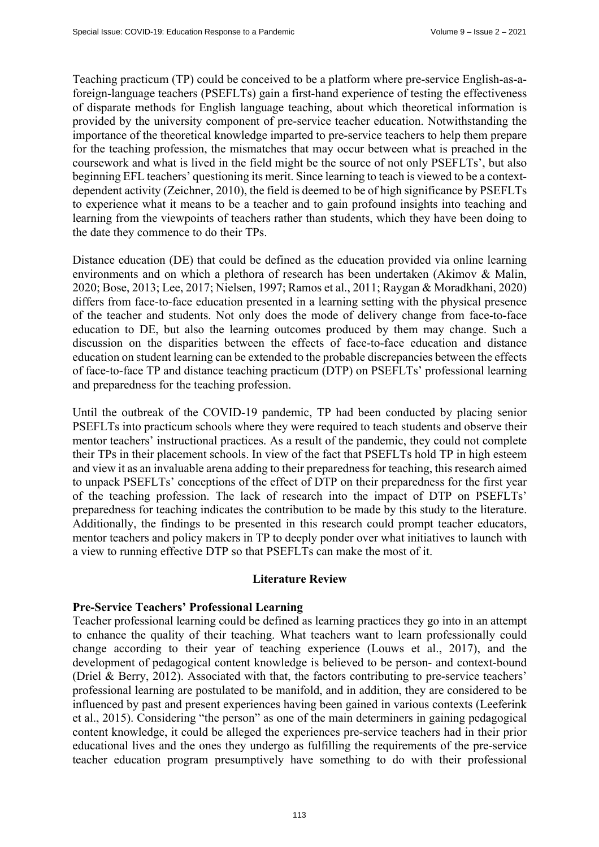Teaching practicum (TP) could be conceived to be a platform where pre-service English-as-aforeign-language teachers (PSEFLTs) gain a first-hand experience of testing the effectiveness of disparate methods for English language teaching, about which theoretical information is provided by the university component of pre-service teacher education. Notwithstanding the importance of the theoretical knowledge imparted to pre-service teachers to help them prepare for the teaching profession, the mismatches that may occur between what is preached in the coursework and what is lived in the field might be the source of not only PSEFLTs', but also beginning EFL teachers' questioning its merit. Since learning to teach is viewed to be a contextdependent activity (Zeichner, 2010), the field is deemed to be of high significance by PSEFLTs to experience what it means to be a teacher and to gain profound insights into teaching and learning from the viewpoints of teachers rather than students, which they have been doing to the date they commence to do their TPs.

Distance education (DE) that could be defined as the education provided via online learning environments and on which a plethora of research has been undertaken (Akimov & Malin, 2020; Bose, 2013; Lee, 2017; Nielsen, 1997; Ramos et al., 2011; Raygan & Moradkhani, 2020) differs from face-to-face education presented in a learning setting with the physical presence of the teacher and students. Not only does the mode of delivery change from face-to-face education to DE, but also the learning outcomes produced by them may change. Such a discussion on the disparities between the effects of face-to-face education and distance education on student learning can be extended to the probable discrepancies between the effects of face-to-face TP and distance teaching practicum (DTP) on PSEFLTs' professional learning and preparedness for the teaching profession.

Until the outbreak of the COVID-19 pandemic, TP had been conducted by placing senior PSEFLTs into practicum schools where they were required to teach students and observe their mentor teachers' instructional practices. As a result of the pandemic, they could not complete their TPs in their placement schools. In view of the fact that PSEFLTs hold TP in high esteem and view it as an invaluable arena adding to their preparedness for teaching, this research aimed to unpack PSEFLTs' conceptions of the effect of DTP on their preparedness for the first year of the teaching profession. The lack of research into the impact of DTP on PSEFLTs' preparedness for teaching indicates the contribution to be made by this study to the literature. Additionally, the findings to be presented in this research could prompt teacher educators, mentor teachers and policy makers in TP to deeply ponder over what initiatives to launch with a view to running effective DTP so that PSEFLTs can make the most of it.

### **Literature Review**

### **Pre-Service Teachers' Professional Learning**

Teacher professional learning could be defined as learning practices they go into in an attempt to enhance the quality of their teaching. What teachers want to learn professionally could change according to their year of teaching experience (Louws et al., 2017), and the development of pedagogical content knowledge is believed to be person- and context-bound (Driel & Berry, 2012). Associated with that, the factors contributing to pre-service teachers' professional learning are postulated to be manifold, and in addition, they are considered to be influenced by past and present experiences having been gained in various contexts (Leeferink et al., 2015). Considering "the person" as one of the main determiners in gaining pedagogical content knowledge, it could be alleged the experiences pre-service teachers had in their prior educational lives and the ones they undergo as fulfilling the requirements of the pre-service teacher education program presumptively have something to do with their professional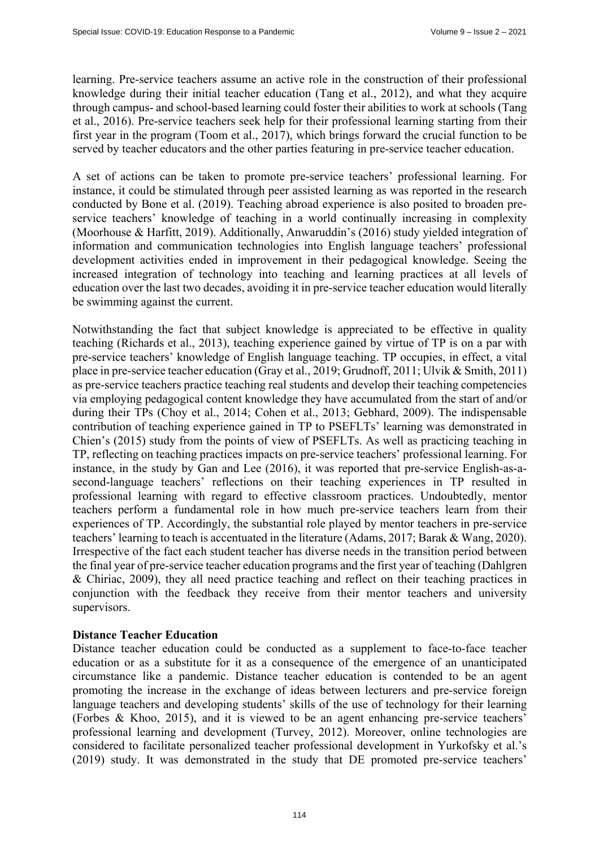learning. Pre-service teachers assume an active role in the construction of their professional knowledge during their initial teacher education (Tang et al., 2012), and what they acquire through campus- and school-based learning could foster their abilities to work at schools (Tang et al., 2016). Pre-service teachers seek help for their professional learning starting from their first year in the program (Toom et al., 2017), which brings forward the crucial function to be served by teacher educators and the other parties featuring in pre-service teacher education.

A set of actions can be taken to promote pre-service teachers' professional learning. For instance, it could be stimulated through peer assisted learning as was reported in the research conducted by Bone et al. (2019). Teaching abroad experience is also posited to broaden preservice teachers' knowledge of teaching in a world continually increasing in complexity (Moorhouse & Harfitt, 2019). Additionally, Anwaruddin's (2016) study yielded integration of information and communication technologies into English language teachers' professional development activities ended in improvement in their pedagogical knowledge. Seeing the increased integration of technology into teaching and learning practices at all levels of education over the last two decades, avoiding it in pre-service teacher education would literally be swimming against the current.

Notwithstanding the fact that subject knowledge is appreciated to be effective in quality teaching (Richards et al., 2013), teaching experience gained by virtue of TP is on a par with pre-service teachers' knowledge of English language teaching. TP occupies, in effect, a vital place in pre-service teacher education (Gray et al., 2019; Grudnoff, 2011; Ulvik & Smith, 2011) as pre-service teachers practice teaching real students and develop their teaching competencies via employing pedagogical content knowledge they have accumulated from the start of and/or during their TPs (Choy et al., 2014; Cohen et al., 2013; Gebhard, 2009). The indispensable contribution of teaching experience gained in TP to PSEFLTs' learning was demonstrated in Chien's (2015) study from the points of view of PSEFLTs. As well as practicing teaching in TP, reflecting on teaching practices impacts on pre-service teachers' professional learning. For instance, in the study by Gan and Lee (2016), it was reported that pre-service English-as-asecond-language teachers' reflections on their teaching experiences in TP resulted in professional learning with regard to effective classroom practices. Undoubtedly, mentor teachers perform a fundamental role in how much pre-service teachers learn from their experiences of TP. Accordingly, the substantial role played by mentor teachers in pre-service teachers' learning to teach is accentuated in the literature (Adams, 2017; Barak & Wang, 2020). Irrespective of the fact each student teacher has diverse needs in the transition period between the final year of pre-service teacher education programs and the first year of teaching (Dahlgren & Chiriac, 2009), they all need practice teaching and reflect on their teaching practices in conjunction with the feedback they receive from their mentor teachers and university supervisors.

## **Distance Teacher Education**

Distance teacher education could be conducted as a supplement to face-to-face teacher education or as a substitute for it as a consequence of the emergence of an unanticipated circumstance like a pandemic. Distance teacher education is contended to be an agent promoting the increase in the exchange of ideas between lecturers and pre-service foreign language teachers and developing students' skills of the use of technology for their learning (Forbes & Khoo, 2015), and it is viewed to be an agent enhancing pre-service teachers' professional learning and development (Turvey, 2012). Moreover, online technologies are considered to facilitate personalized teacher professional development in Yurkofsky et al.'s (2019) study. It was demonstrated in the study that DE promoted pre-service teachers'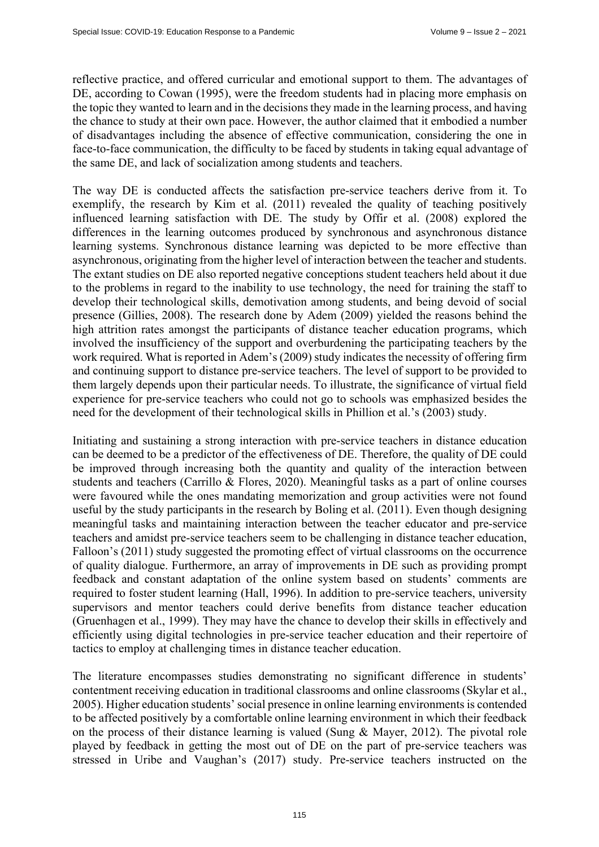reflective practice, and offered curricular and emotional support to them. The advantages of DE, according to Cowan (1995), were the freedom students had in placing more emphasis on the topic they wanted to learn and in the decisions they made in the learning process, and having the chance to study at their own pace. However, the author claimed that it embodied a number of disadvantages including the absence of effective communication, considering the one in face-to-face communication, the difficulty to be faced by students in taking equal advantage of the same DE, and lack of socialization among students and teachers.

The way DE is conducted affects the satisfaction pre-service teachers derive from it. To exemplify, the research by Kim et al. (2011) revealed the quality of teaching positively influenced learning satisfaction with DE. The study by Offir et al. (2008) explored the differences in the learning outcomes produced by synchronous and asynchronous distance learning systems. Synchronous distance learning was depicted to be more effective than asynchronous, originating from the higher level of interaction between the teacher and students. The extant studies on DE also reported negative conceptions student teachers held about it due to the problems in regard to the inability to use technology, the need for training the staff to develop their technological skills, demotivation among students, and being devoid of social presence (Gillies, 2008). The research done by Adem (2009) yielded the reasons behind the high attrition rates amongst the participants of distance teacher education programs, which involved the insufficiency of the support and overburdening the participating teachers by the work required. What is reported in Adem's (2009) study indicates the necessity of offering firm and continuing support to distance pre-service teachers. The level of support to be provided to them largely depends upon their particular needs. To illustrate, the significance of virtual field experience for pre-service teachers who could not go to schools was emphasized besides the need for the development of their technological skills in Phillion et al.'s (2003) study.

Initiating and sustaining a strong interaction with pre-service teachers in distance education can be deemed to be a predictor of the effectiveness of DE. Therefore, the quality of DE could be improved through increasing both the quantity and quality of the interaction between students and teachers (Carrillo & Flores, 2020). Meaningful tasks as a part of online courses were favoured while the ones mandating memorization and group activities were not found useful by the study participants in the research by Boling et al. (2011). Even though designing meaningful tasks and maintaining interaction between the teacher educator and pre-service teachers and amidst pre-service teachers seem to be challenging in distance teacher education, Falloon's (2011) study suggested the promoting effect of virtual classrooms on the occurrence of quality dialogue. Furthermore, an array of improvements in DE such as providing prompt feedback and constant adaptation of the online system based on students' comments are required to foster student learning (Hall, 1996). In addition to pre-service teachers, university supervisors and mentor teachers could derive benefits from distance teacher education (Gruenhagen et al., 1999). They may have the chance to develop their skills in effectively and efficiently using digital technologies in pre-service teacher education and their repertoire of tactics to employ at challenging times in distance teacher education.

The literature encompasses studies demonstrating no significant difference in students' contentment receiving education in traditional classrooms and online classrooms (Skylar et al., 2005). Higher education students' social presence in online learning environments is contended to be affected positively by a comfortable online learning environment in which their feedback on the process of their distance learning is valued (Sung & Mayer, 2012). The pivotal role played by feedback in getting the most out of DE on the part of pre-service teachers was stressed in Uribe and Vaughan's (2017) study. Pre-service teachers instructed on the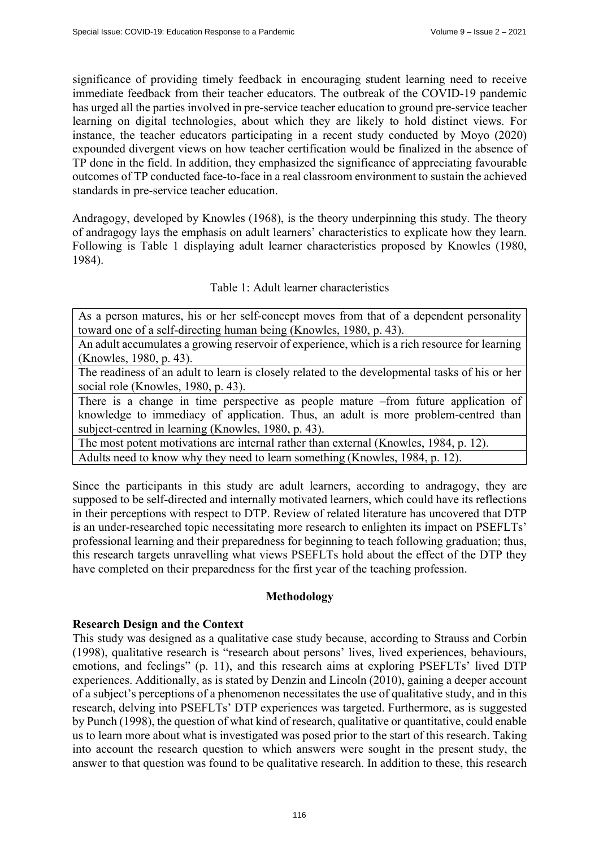significance of providing timely feedback in encouraging student learning need to receive immediate feedback from their teacher educators. The outbreak of the COVID-19 pandemic has urged all the parties involved in pre-service teacher education to ground pre-service teacher learning on digital technologies, about which they are likely to hold distinct views. For instance, the teacher educators participating in a recent study conducted by Moyo (2020) expounded divergent views on how teacher certification would be finalized in the absence of TP done in the field. In addition, they emphasized the significance of appreciating favourable outcomes of TP conducted face-to-face in a real classroom environment to sustain the achieved standards in pre-service teacher education.

Andragogy, developed by Knowles (1968), is the theory underpinning this study. The theory of andragogy lays the emphasis on adult learners' characteristics to explicate how they learn. Following is Table 1 displaying adult learner characteristics proposed by Knowles (1980, 1984).

## Table 1: Adult learner characteristics

As a person matures, his or her self-concept moves from that of a dependent personality toward one of a self-directing human being (Knowles, 1980, p. 43).

An adult accumulates a growing reservoir of experience, which is a rich resource for learning (Knowles, 1980, p. 43).

The readiness of an adult to learn is closely related to the developmental tasks of his or her social role (Knowles, 1980, p. 43).

There is a change in time perspective as people mature –from future application of knowledge to immediacy of application. Thus, an adult is more problem-centred than subject-centred in learning (Knowles, 1980, p. 43).

The most potent motivations are internal rather than external (Knowles, 1984, p. 12).

Adults need to know why they need to learn something (Knowles, 1984, p. 12).

Since the participants in this study are adult learners, according to andragogy, they are supposed to be self-directed and internally motivated learners, which could have its reflections in their perceptions with respect to DTP. Review of related literature has uncovered that DTP is an under-researched topic necessitating more research to enlighten its impact on PSEFLTs' professional learning and their preparedness for beginning to teach following graduation; thus, this research targets unravelling what views PSEFLTs hold about the effect of the DTP they have completed on their preparedness for the first year of the teaching profession.

### **Methodology**

## **Research Design and the Context**

This study was designed as a qualitative case study because, according to Strauss and Corbin (1998), qualitative research is "research about persons' lives, lived experiences, behaviours, emotions, and feelings" (p. 11), and this research aims at exploring PSEFLTs' lived DTP experiences. Additionally, as is stated by Denzin and Lincoln (2010), gaining a deeper account of a subject's perceptions of a phenomenon necessitates the use of qualitative study, and in this research, delving into PSEFLTs' DTP experiences was targeted. Furthermore, as is suggested by Punch (1998), the question of what kind of research, qualitative or quantitative, could enable us to learn more about what is investigated was posed prior to the start of this research. Taking into account the research question to which answers were sought in the present study, the answer to that question was found to be qualitative research. In addition to these, this research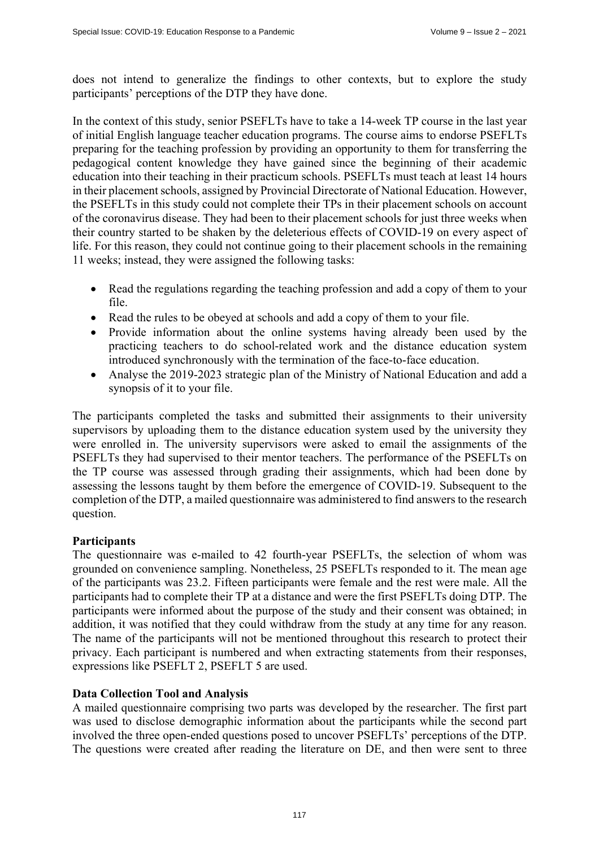does not intend to generalize the findings to other contexts, but to explore the study participants' perceptions of the DTP they have done.

In the context of this study, senior PSEFLTs have to take a 14-week TP course in the last year of initial English language teacher education programs. The course aims to endorse PSEFLTs preparing for the teaching profession by providing an opportunity to them for transferring the pedagogical content knowledge they have gained since the beginning of their academic education into their teaching in their practicum schools. PSEFLTs must teach at least 14 hours in their placement schools, assigned by Provincial Directorate of National Education. However, the PSEFLTs in this study could not complete their TPs in their placement schools on account of the coronavirus disease. They had been to their placement schools for just three weeks when their country started to be shaken by the deleterious effects of COVID-19 on every aspect of life. For this reason, they could not continue going to their placement schools in the remaining 11 weeks; instead, they were assigned the following tasks:

- Read the regulations regarding the teaching profession and add a copy of them to your file.
- Read the rules to be obeyed at schools and add a copy of them to your file.
- Provide information about the online systems having already been used by the practicing teachers to do school-related work and the distance education system introduced synchronously with the termination of the face-to-face education.
- Analyse the 2019-2023 strategic plan of the Ministry of National Education and add a synopsis of it to your file.

The participants completed the tasks and submitted their assignments to their university supervisors by uploading them to the distance education system used by the university they were enrolled in. The university supervisors were asked to email the assignments of the PSEFLTs they had supervised to their mentor teachers. The performance of the PSEFLTs on the TP course was assessed through grading their assignments, which had been done by assessing the lessons taught by them before the emergence of COVID-19. Subsequent to the completion of the DTP, a mailed questionnaire was administered to find answers to the research question.

## **Participants**

The questionnaire was e-mailed to 42 fourth-year PSEFLTs, the selection of whom was grounded on convenience sampling. Nonetheless, 25 PSEFLTs responded to it. The mean age of the participants was 23.2. Fifteen participants were female and the rest were male. All the participants had to complete their TP at a distance and were the first PSEFLTs doing DTP. The participants were informed about the purpose of the study and their consent was obtained; in addition, it was notified that they could withdraw from the study at any time for any reason. The name of the participants will not be mentioned throughout this research to protect their privacy. Each participant is numbered and when extracting statements from their responses, expressions like PSEFLT 2, PSEFLT 5 are used.

## **Data Collection Tool and Analysis**

A mailed questionnaire comprising two parts was developed by the researcher. The first part was used to disclose demographic information about the participants while the second part involved the three open-ended questions posed to uncover PSEFLTs' perceptions of the DTP. The questions were created after reading the literature on DE, and then were sent to three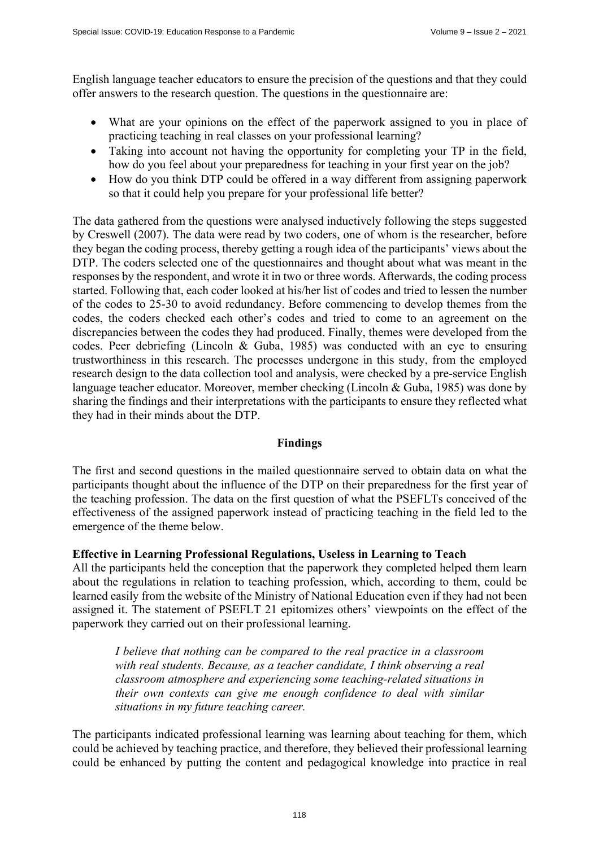English language teacher educators to ensure the precision of the questions and that they could offer answers to the research question. The questions in the questionnaire are:

- What are your opinions on the effect of the paperwork assigned to you in place of practicing teaching in real classes on your professional learning?
- Taking into account not having the opportunity for completing your TP in the field, how do you feel about your preparedness for teaching in your first year on the job?
- How do you think DTP could be offered in a way different from assigning paperwork so that it could help you prepare for your professional life better?

The data gathered from the questions were analysed inductively following the steps suggested by Creswell (2007). The data were read by two coders, one of whom is the researcher, before they began the coding process, thereby getting a rough idea of the participants' views about the DTP. The coders selected one of the questionnaires and thought about what was meant in the responses by the respondent, and wrote it in two or three words. Afterwards, the coding process started. Following that, each coder looked at his/her list of codes and tried to lessen the number of the codes to 25-30 to avoid redundancy. Before commencing to develop themes from the codes, the coders checked each other's codes and tried to come to an agreement on the discrepancies between the codes they had produced. Finally, themes were developed from the codes. Peer debriefing (Lincoln & Guba, 1985) was conducted with an eye to ensuring trustworthiness in this research. The processes undergone in this study, from the employed research design to the data collection tool and analysis, were checked by a pre-service English language teacher educator. Moreover, member checking (Lincoln & Guba, 1985) was done by sharing the findings and their interpretations with the participants to ensure they reflected what they had in their minds about the DTP.

### **Findings**

The first and second questions in the mailed questionnaire served to obtain data on what the participants thought about the influence of the DTP on their preparedness for the first year of the teaching profession. The data on the first question of what the PSEFLTs conceived of the effectiveness of the assigned paperwork instead of practicing teaching in the field led to the emergence of the theme below.

## **Effective in Learning Professional Regulations, Useless in Learning to Teach**

All the participants held the conception that the paperwork they completed helped them learn about the regulations in relation to teaching profession, which, according to them, could be learned easily from the website of the Ministry of National Education even if they had not been assigned it. The statement of PSEFLT 21 epitomizes others' viewpoints on the effect of the paperwork they carried out on their professional learning.

*I believe that nothing can be compared to the real practice in a classroom with real students. Because, as a teacher candidate, I think observing a real classroom atmosphere and experiencing some teaching-related situations in their own contexts can give me enough confidence to deal with similar situations in my future teaching career.* 

The participants indicated professional learning was learning about teaching for them, which could be achieved by teaching practice, and therefore, they believed their professional learning could be enhanced by putting the content and pedagogical knowledge into practice in real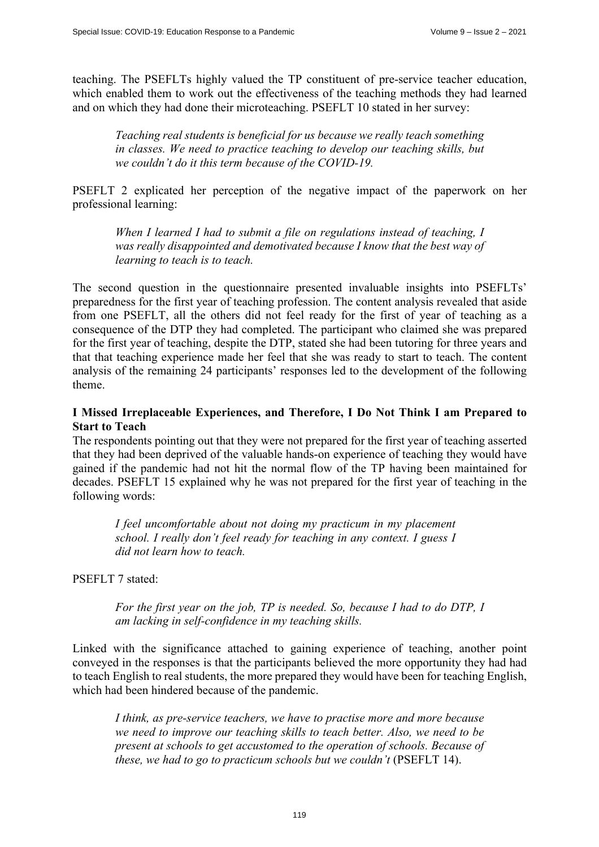teaching. The PSEFLTs highly valued the TP constituent of pre-service teacher education, which enabled them to work out the effectiveness of the teaching methods they had learned and on which they had done their microteaching. PSEFLT 10 stated in her survey:

*Teaching real students is beneficial for us because we really teach something in classes. We need to practice teaching to develop our teaching skills, but we couldn't do it this term because of the COVID-19.*

PSEFLT 2 explicated her perception of the negative impact of the paperwork on her professional learning:

*When I learned I had to submit a file on regulations instead of teaching, I was really disappointed and demotivated because I know that the best way of learning to teach is to teach.* 

The second question in the questionnaire presented invaluable insights into PSEFLTs' preparedness for the first year of teaching profession. The content analysis revealed that aside from one PSEFLT, all the others did not feel ready for the first of year of teaching as a consequence of the DTP they had completed. The participant who claimed she was prepared for the first year of teaching, despite the DTP, stated she had been tutoring for three years and that that teaching experience made her feel that she was ready to start to teach. The content analysis of the remaining 24 participants' responses led to the development of the following theme.

## **I Missed Irreplaceable Experiences, and Therefore, I Do Not Think I am Prepared to Start to Teach**

The respondents pointing out that they were not prepared for the first year of teaching asserted that they had been deprived of the valuable hands-on experience of teaching they would have gained if the pandemic had not hit the normal flow of the TP having been maintained for decades. PSEFLT 15 explained why he was not prepared for the first year of teaching in the following words:

*I feel uncomfortable about not doing my practicum in my placement school. I really don't feel ready for teaching in any context. I guess I did not learn how to teach.* 

PSEFLT 7 stated:

*For the first year on the job, TP is needed. So, because I had to do DTP, I am lacking in self-confidence in my teaching skills.* 

Linked with the significance attached to gaining experience of teaching, another point conveyed in the responses is that the participants believed the more opportunity they had had to teach English to real students, the more prepared they would have been for teaching English, which had been hindered because of the pandemic.

*I think, as pre-service teachers, we have to practise more and more because we need to improve our teaching skills to teach better. Also, we need to be present at schools to get accustomed to the operation of schools. Because of these, we had to go to practicum schools but we couldn't (PSEFLT 14).*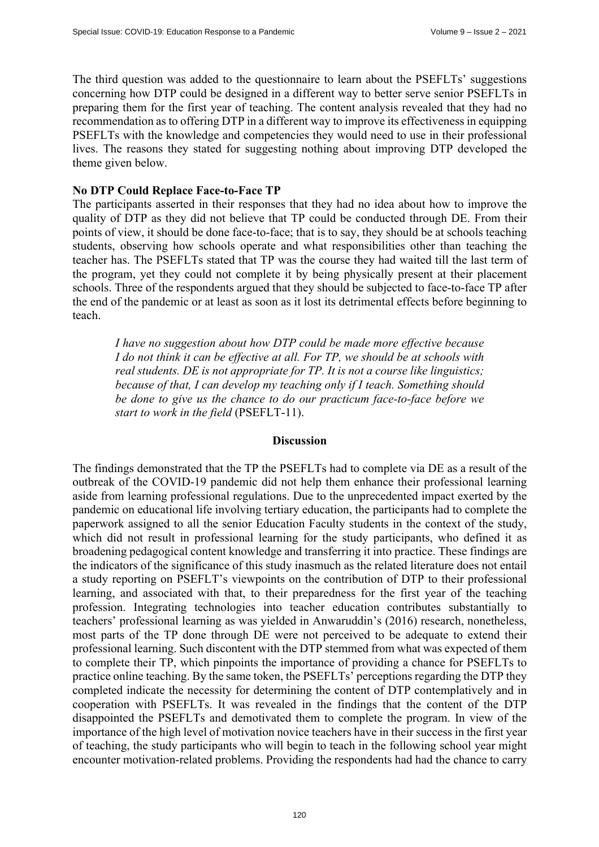The third question was added to the questionnaire to learn about the PSEFLTs' suggestions concerning how DTP could be designed in a different way to better serve senior PSEFLTs in preparing them for the first year of teaching. The content analysis revealed that they had no recommendation as to offering DTP in a different way to improve its effectiveness in equipping PSEFLTs with the knowledge and competencies they would need to use in their professional lives. The reasons they stated for suggesting nothing about improving DTP developed the theme given below.

### **No DTP Could Replace Face-to-Face TP**

The participants asserted in their responses that they had no idea about how to improve the quality of DTP as they did not believe that TP could be conducted through DE. From their points of view, it should be done face-to-face; that is to say, they should be at schools teaching students, observing how schools operate and what responsibilities other than teaching the teacher has. The PSEFLTs stated that TP was the course they had waited till the last term of the program, yet they could not complete it by being physically present at their placement schools. Three of the respondents argued that they should be subjected to face-to-face TP after the end of the pandemic or at least as soon as it lost its detrimental effects before beginning to teach.

*I have no suggestion about how DTP could be made more effective because I do not think it can be effective at all. For TP, we should be at schools with real students. DE is not appropriate for TP. It is not a course like linguistics; because of that, I can develop my teaching only if I teach. Something should be done to give us the chance to do our practicum face-to-face before we start to work in the field* (PSEFLT-11).

#### **Discussion**

The findings demonstrated that the TP the PSEFLTs had to complete via DE as a result of the outbreak of the COVID-19 pandemic did not help them enhance their professional learning aside from learning professional regulations. Due to the unprecedented impact exerted by the pandemic on educational life involving tertiary education, the participants had to complete the paperwork assigned to all the senior Education Faculty students in the context of the study, which did not result in professional learning for the study participants, who defined it as broadening pedagogical content knowledge and transferring it into practice. These findings are the indicators of the significance of this study inasmuch as the related literature does not entail a study reporting on PSEFLT's viewpoints on the contribution of DTP to their professional learning, and associated with that, to their preparedness for the first year of the teaching profession. Integrating technologies into teacher education contributes substantially to teachers' professional learning as was yielded in Anwaruddin's (2016) research, nonetheless, most parts of the TP done through DE were not perceived to be adequate to extend their professional learning. Such discontent with the DTP stemmed from what was expected of them to complete their TP, which pinpoints the importance of providing a chance for PSEFLTs to practice online teaching. By the same token, the PSEFLTs' perceptions regarding the DTP they completed indicate the necessity for determining the content of DTP contemplatively and in cooperation with PSEFLTs. It was revealed in the findings that the content of the DTP disappointed the PSEFLTs and demotivated them to complete the program. In view of the importance of the high level of motivation novice teachers have in their success in the first year of teaching, the study participants who will begin to teach in the following school year might encounter motivation-related problems. Providing the respondents had had the chance to carry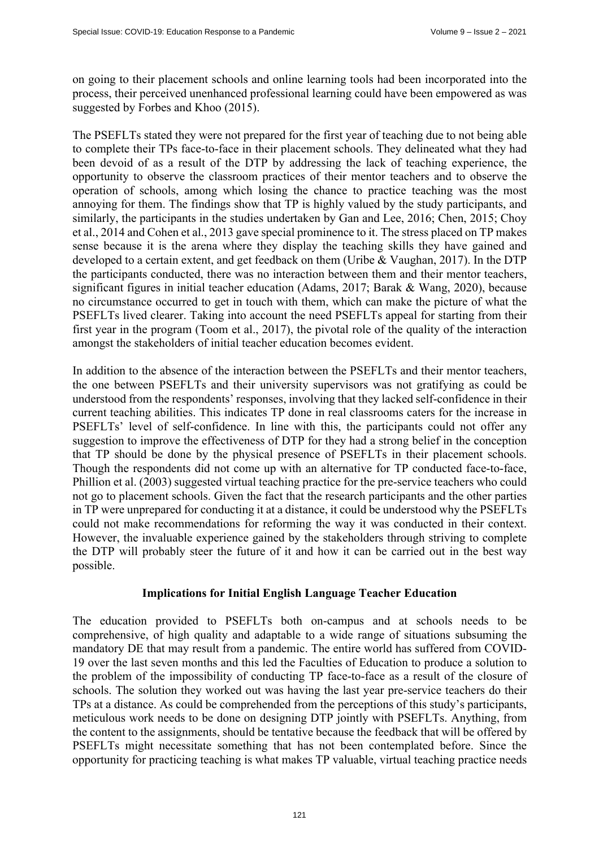on going to their placement schools and online learning tools had been incorporated into the process, their perceived unenhanced professional learning could have been empowered as was suggested by Forbes and Khoo (2015).

The PSEFLTs stated they were not prepared for the first year of teaching due to not being able to complete their TPs face-to-face in their placement schools. They delineated what they had been devoid of as a result of the DTP by addressing the lack of teaching experience, the opportunity to observe the classroom practices of their mentor teachers and to observe the operation of schools, among which losing the chance to practice teaching was the most annoying for them. The findings show that TP is highly valued by the study participants, and similarly, the participants in the studies undertaken by Gan and Lee, 2016; Chen, 2015; Choy et al., 2014 and Cohen et al., 2013 gave special prominence to it. The stress placed on TP makes sense because it is the arena where they display the teaching skills they have gained and developed to a certain extent, and get feedback on them (Uribe & Vaughan, 2017). In the DTP the participants conducted, there was no interaction between them and their mentor teachers, significant figures in initial teacher education (Adams, 2017; Barak & Wang, 2020), because no circumstance occurred to get in touch with them, which can make the picture of what the PSEFLTs lived clearer. Taking into account the need PSEFLTs appeal for starting from their first year in the program (Toom et al., 2017), the pivotal role of the quality of the interaction amongst the stakeholders of initial teacher education becomes evident.

In addition to the absence of the interaction between the PSEFLTs and their mentor teachers, the one between PSEFLTs and their university supervisors was not gratifying as could be understood from the respondents' responses, involving that they lacked self-confidence in their current teaching abilities. This indicates TP done in real classrooms caters for the increase in PSEFLTs' level of self-confidence. In line with this, the participants could not offer any suggestion to improve the effectiveness of DTP for they had a strong belief in the conception that TP should be done by the physical presence of PSEFLTs in their placement schools. Though the respondents did not come up with an alternative for TP conducted face-to-face, Phillion et al. (2003) suggested virtual teaching practice for the pre-service teachers who could not go to placement schools. Given the fact that the research participants and the other parties in TP were unprepared for conducting it at a distance, it could be understood why the PSEFLTs could not make recommendations for reforming the way it was conducted in their context. However, the invaluable experience gained by the stakeholders through striving to complete the DTP will probably steer the future of it and how it can be carried out in the best way possible.

### **Implications for Initial English Language Teacher Education**

The education provided to PSEFLTs both on-campus and at schools needs to be comprehensive, of high quality and adaptable to a wide range of situations subsuming the mandatory DE that may result from a pandemic. The entire world has suffered from COVID-19 over the last seven months and this led the Faculties of Education to produce a solution to the problem of the impossibility of conducting TP face-to-face as a result of the closure of schools. The solution they worked out was having the last year pre-service teachers do their TPs at a distance. As could be comprehended from the perceptions of this study's participants, meticulous work needs to be done on designing DTP jointly with PSEFLTs. Anything, from the content to the assignments, should be tentative because the feedback that will be offered by PSEFLTs might necessitate something that has not been contemplated before. Since the opportunity for practicing teaching is what makes TP valuable, virtual teaching practice needs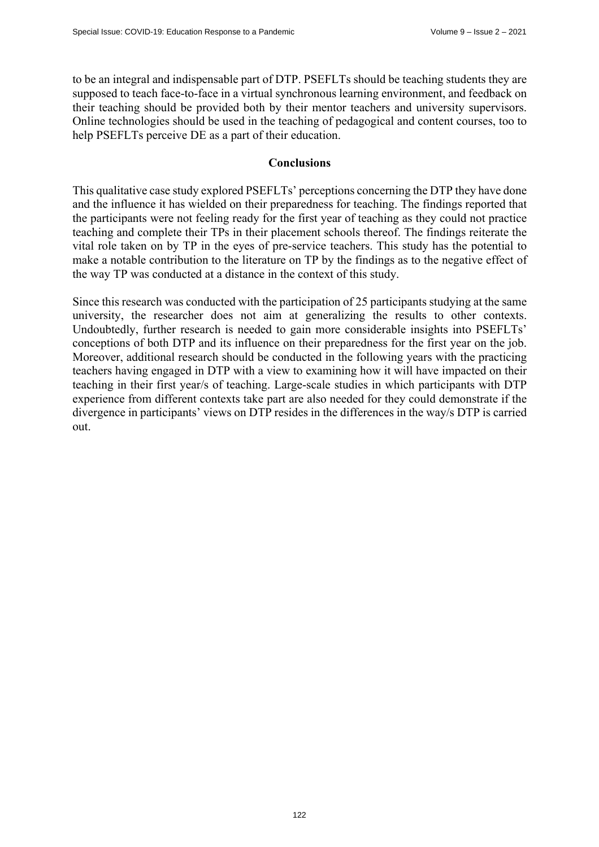to be an integral and indispensable part of DTP. PSEFLTs should be teaching students they are supposed to teach face-to-face in a virtual synchronous learning environment, and feedback on their teaching should be provided both by their mentor teachers and university supervisors. Online technologies should be used in the teaching of pedagogical and content courses, too to help PSEFLTs perceive DE as a part of their education.

### **Conclusions**

This qualitative case study explored PSEFLTs' perceptions concerning the DTP they have done and the influence it has wielded on their preparedness for teaching. The findings reported that the participants were not feeling ready for the first year of teaching as they could not practice teaching and complete their TPs in their placement schools thereof. The findings reiterate the vital role taken on by TP in the eyes of pre-service teachers. This study has the potential to make a notable contribution to the literature on TP by the findings as to the negative effect of the way TP was conducted at a distance in the context of this study.

Since this research was conducted with the participation of 25 participants studying at the same university, the researcher does not aim at generalizing the results to other contexts. Undoubtedly, further research is needed to gain more considerable insights into PSEFLTs' conceptions of both DTP and its influence on their preparedness for the first year on the job. Moreover, additional research should be conducted in the following years with the practicing teachers having engaged in DTP with a view to examining how it will have impacted on their teaching in their first year/s of teaching. Large-scale studies in which participants with DTP experience from different contexts take part are also needed for they could demonstrate if the divergence in participants' views on DTP resides in the differences in the way/s DTP is carried out.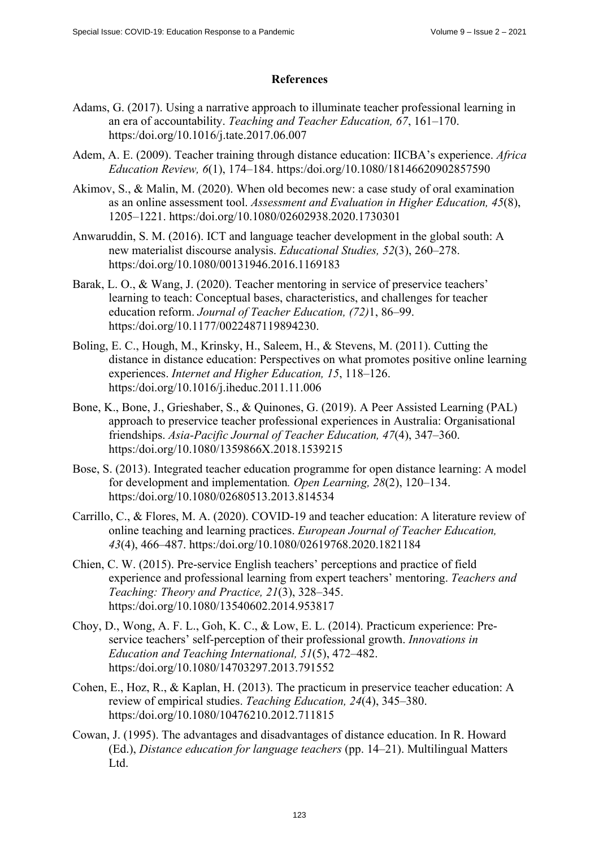## **References**

- Adams, G. (2017). Using a narrative approach to illuminate teacher professional learning in an era of accountability. *Teaching and Teacher Education, 67*, 161–170. https:/doi.org/10.1016/j.tate.2017.06.007
- Adem, A. E. (2009). Teacher training through distance education: IICBA's experience. *Africa Education Review, 6*(1), 174–184. https:/doi.org/10.1080/18146620902857590
- Akimov, S., & Malin, M. (2020). When old becomes new: a case study of oral examination as an online assessment tool. *Assessment and Evaluation in Higher Education, 45*(8), 1205–1221. https:/doi.org/10.1080/02602938.2020.1730301
- Anwaruddin, S. M. (2016). ICT and language teacher development in the global south: A new materialist discourse analysis. *Educational Studies, 52*(3), 260–278. https:/doi.org/10.1080/00131946.2016.1169183
- Barak, L. O., & Wang, J. (2020). Teacher mentoring in service of preservice teachers' learning to teach: Conceptual bases, characteristics, and challenges for teacher education reform. *Journal of Teacher Education, (72)*1, 86–99. https:/doi.org/10.1177/0022487119894230.
- Boling, E. C., Hough, M., Krinsky, H., Saleem, H., & Stevens, M. (2011). Cutting the distance in distance education: Perspectives on what promotes positive online learning experiences. *Internet and Higher Education, 15*, 118–126. https:/doi.org/10.1016/j.iheduc.2011.11.006
- Bone, K., Bone, J., Grieshaber, S., & Quinones, G. (2019). A Peer Assisted Learning (PAL) approach to preservice teacher professional experiences in Australia: Organisational friendships. *Asia-Pacific Journal of Teacher Education, 47*(4), 347–360. https:/doi.org/10.1080/1359866X.2018.1539215
- Bose, S. (2013). Integrated teacher education programme for open distance learning: A model for development and implementation*. Open Learning, 28*(2), 120–134. https:/doi.org/10.1080/02680513.2013.814534
- Carrillo, C., & Flores, M. A. (2020). COVID-19 and teacher education: A literature review of online teaching and learning practices. *European Journal of Teacher Education, 43*(4), 466–487. https:/doi.org/10.1080/02619768.2020.1821184
- Chien, C. W. (2015). Pre-service English teachers' perceptions and practice of field experience and professional learning from expert teachers' mentoring. *Teachers and Teaching: Theory and Practice, 21*(3), 328–345. https:/doi.org/10.1080/13540602.2014.953817
- Choy, D., Wong, A. F. L., Goh, K. C., & Low, E. L. (2014). Practicum experience: Preservice teachers' self-perception of their professional growth. *Innovations in Education and Teaching International, 51*(5), 472–482. https:/doi.org/10.1080/14703297.2013.791552
- Cohen, E., Hoz, R., & Kaplan, H. (2013). The practicum in preservice teacher education: A review of empirical studies. *Teaching Education, 24*(4), 345–380. https:/doi.org/10.1080/10476210.2012.711815
- Cowan, J. (1995). The advantages and disadvantages of distance education. In R. Howard (Ed.), *Distance education for language teachers* (pp. 14–21). Multilingual Matters Ltd.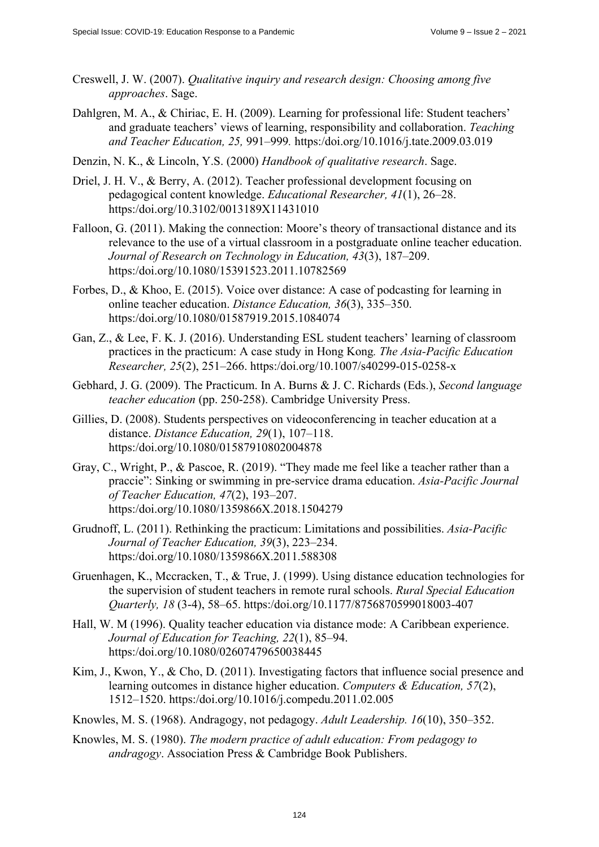- Creswell, J. W. (2007). *Qualitative inquiry and research design: Choosing among five approaches*. Sage.
- Dahlgren, M. A., & Chiriac, E. H. (2009). Learning for professional life: Student teachers' and graduate teachers' views of learning, responsibility and collaboration. *Teaching and Teacher Education, 25,* 991–999*.* https:/doi.org/10.1016/j.tate.2009.03.019
- Denzin, N. K., & Lincoln, Y.S. (2000) *Handbook of qualitative research*. Sage.
- Driel, J. H. V., & Berry, A. (2012). Teacher professional development focusing on pedagogical content knowledge. *Educational Researcher, 41*(1), 26–28. https:/doi.org/10.3102/0013189X11431010
- Falloon, G. (2011). Making the connection: Moore's theory of transactional distance and its relevance to the use of a virtual classroom in a postgraduate online teacher education. *Journal of Research on Technology in Education, 43*(3), 187–209. https:/doi.org/10.1080/15391523.2011.10782569
- Forbes, D., & Khoo, E. (2015). Voice over distance: A case of podcasting for learning in online teacher education. *Distance Education, 36*(3), 335–350. https:/doi.org/10.1080/01587919.2015.1084074
- Gan, Z., & Lee, F. K. J. (2016). Understanding ESL student teachers' learning of classroom practices in the practicum: A case study in Hong Kong*. The Asia-Pacific Education Researcher, 25*(2), 251–266. https:/doi.org/10.1007/s40299-015-0258-x
- Gebhard, J. G. (2009). The Practicum. In A. Burns & J. C. Richards (Eds.), *Second language teacher education* (pp. 250-258). Cambridge University Press.
- Gillies, D. (2008). Students perspectives on videoconferencing in teacher education at a distance. *Distance Education, 29*(1), 107–118. https:/doi.org/10.1080/01587910802004878
- Gray, C., Wright, P., & Pascoe, R. (2019). "They made me feel like a teacher rather than a praccie": Sinking or swimming in pre-service drama education. *Asia-Pacific Journal of Teacher Education, 47*(2), 193–207. https:/doi.org/10.1080/1359866X.2018.1504279
- Grudnoff, L. (2011). Rethinking the practicum: Limitations and possibilities. *Asia-Pacific Journal of Teacher Education, 39*(3), 223–234. https:/doi.org/10.1080/1359866X.2011.588308
- Gruenhagen, K., Mccracken, T., & True, J. (1999). Using distance education technologies for the supervision of student teachers in remote rural schools. *Rural Special Education Quarterly, 18* (3-4), 58–65. https:/doi.org/10.1177/8756870599018003-407
- Hall, W. M (1996). Quality teacher education via distance mode: A Caribbean experience. *Journal of Education for Teaching, 22*(1), 85–94. https:/doi.org/10.1080/02607479650038445
- Kim, J., Kwon, Y., & Cho, D. (2011). Investigating factors that influence social presence and learning outcomes in distance higher education. *Computers & Education, 57*(2), 1512–1520. https:/doi.org/10.1016/j.compedu.2011.02.005
- Knowles, M. S. (1968). Andragogy, not pedagogy. *Adult Leadership. 16*(10), 350–352.
- Knowles, M. S. (1980). *The modern practice of adult education: From pedagogy to andragogy*. Association Press & Cambridge Book Publishers.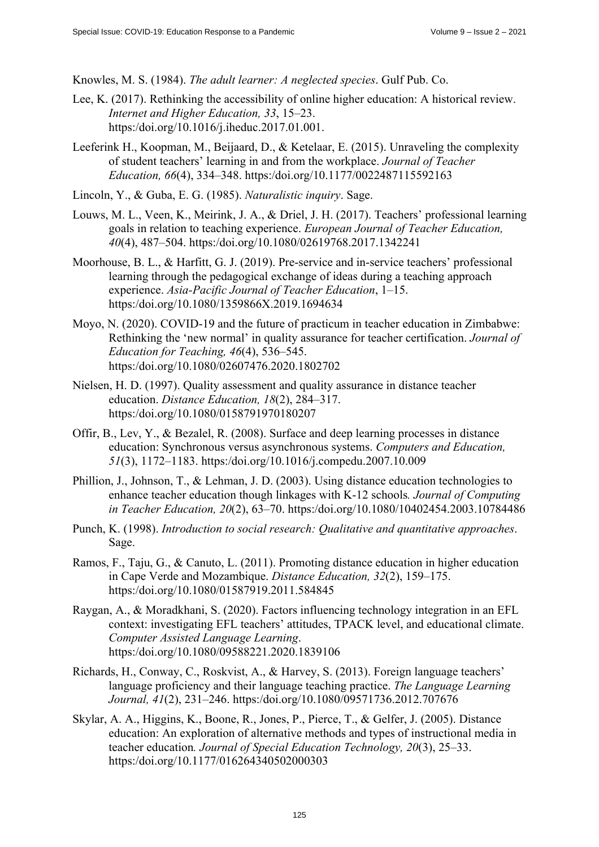Knowles, M. S. (1984). *The adult learner: A neglected species*. Gulf Pub. Co.

- Lee, K. (2017). Rethinking the accessibility of online higher education: A historical review. *Internet and Higher Education, 33*, 15–23. https:/doi.org/10.1016/j.iheduc.2017.01.001.
- Leeferink H., Koopman, M., Beijaard, D., & Ketelaar, E. (2015). Unraveling the complexity of student teachers' learning in and from the workplace. *Journal of Teacher Education, 66*(4), 334–348. https:/doi.org/10.1177/0022487115592163
- Lincoln, Y., & Guba, E. G. (1985). *Naturalistic inquiry*. Sage.
- Louws, M. L., Veen, K., Meirink, J. A., & Driel, J. H. (2017). Teachers' professional learning goals in relation to teaching experience. *European Journal of Teacher Education, 40*(4), 487–504. https:/doi.org/10.1080/02619768.2017.1342241
- Moorhouse, B. L., & Harfitt, G. J. (2019). Pre-service and in-service teachers' professional learning through the pedagogical exchange of ideas during a teaching approach experience. *Asia-Pacific Journal of Teacher Education*, 1–15. https:/doi.org/10.1080/1359866X.2019.1694634
- Moyo, N. (2020). COVID-19 and the future of practicum in teacher education in Zimbabwe: Rethinking the 'new normal' in quality assurance for teacher certification. *Journal of Education for Teaching, 46*(4), 536–545. https:/doi.org/10.1080/02607476.2020.1802702
- Nielsen, H. D. (1997). Quality assessment and quality assurance in distance teacher education. *Distance Education, 18*(2), 284–317. https:/doi.org/10.1080/0158791970180207
- Offir, B., Lev, Y., & Bezalel, R. (2008). Surface and deep learning processes in distance education: Synchronous versus asynchronous systems. *Computers and Education, 51*(3), 1172–1183. https:/doi.org/10.1016/j.compedu.2007.10.009
- Phillion, J., Johnson, T., & Lehman, J. D. (2003). Using distance education technologies to enhance teacher education though linkages with K-12 schools*. Journal of Computing in Teacher Education, 20*(2), 63–70. https:/doi.org/10.1080/10402454.2003.10784486
- Punch, K. (1998). *Introduction to social research: Qualitative and quantitative approaches*. Sage.
- Ramos, F., Taju, G., & Canuto, L. (2011). Promoting distance education in higher education in Cape Verde and Mozambique. *Distance Education, 32*(2), 159–175. https:/doi.org/10.1080/01587919.2011.584845
- Raygan, A., & Moradkhani, S. (2020). Factors influencing technology integration in an EFL context: investigating EFL teachers' attitudes, TPACK level, and educational climate. *Computer Assisted Language Learning*. https:/doi.org/10.1080/09588221.2020.1839106
- Richards, H., Conway, C., Roskvist, A., & Harvey, S. (2013). Foreign language teachers' language proficiency and their language teaching practice. *The Language Learning Journal, 41*(2), 231–246. https:/doi.org/10.1080/09571736.2012.707676
- Skylar, A. A., Higgins, K., Boone, R., Jones, P., Pierce, T., & Gelfer, J. (2005). Distance education: An exploration of alternative methods and types of instructional media in teacher education*. Journal of Special Education Technology, 20*(3), 25–33. https:/doi.org/10.1177/016264340502000303